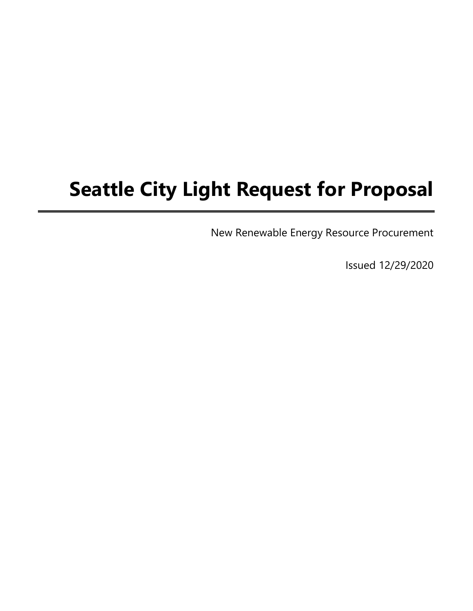# Seattle City Light Request for Proposal

New Renewable Energy Resource Procurement

Issued 12/29/2020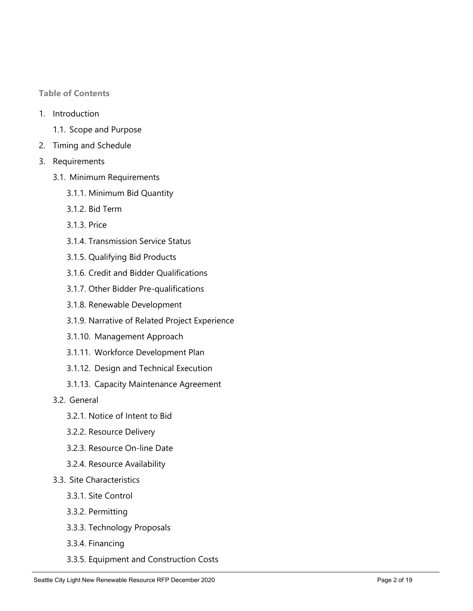Table of Contents

- 1. Introduction
	- 1.1. Scope and Purpose
- 2. Timing and Schedule
- 3. Requirements
	- 3.1. Minimum Requirements
		- 3.1.1. Minimum Bid Quantity
		- 3.1.2. Bid Term
		- 3.1.3. Price
		- 3.1.4. Transmission Service Status
		- 3.1.5. Qualifying Bid Products
		- 3.1.6. Credit and Bidder Qualifications
		- 3.1.7. Other Bidder Pre-qualifications
		- 3.1.8. Renewable Development
		- 3.1.9. Narrative of Related Project Experience
		- 3.1.10. Management Approach
		- 3.1.11. Workforce Development Plan
		- 3.1.12. Design and Technical Execution
		- 3.1.13. Capacity Maintenance Agreement
	- 3.2. General
		- 3.2.1. Notice of Intent to Bid
		- 3.2.2. Resource Delivery
		- 3.2.3. Resource On-line Date
		- 3.2.4. Resource Availability
	- 3.3. Site Characteristics
		- 3.3.1. Site Control
		- 3.3.2. Permitting
		- 3.3.3. Technology Proposals
		- 3.3.4. Financing
		- 3.3.5. Equipment and Construction Costs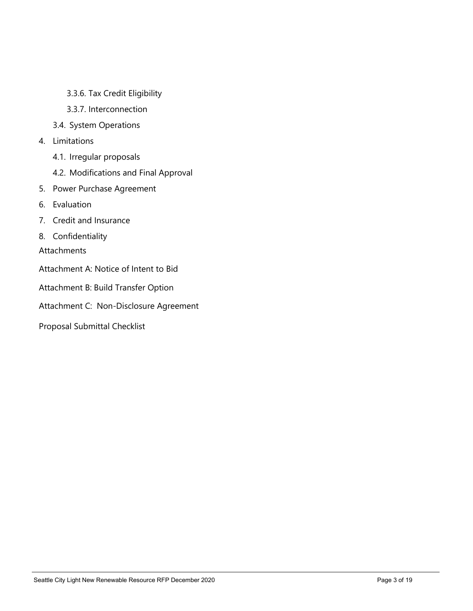- 3.3.6. Tax Credit Eligibility
- 3.3.7. Interconnection
- 3.4. System Operations
- 4. Limitations
	- 4.1. Irregular proposals
	- 4.2. Modifications and Final Approval
- 5. Power Purchase Agreement
- 6. Evaluation
- 7. Credit and Insurance
- 8. Confidentiality

**Attachments** 

- Attachment A: Notice of Intent to Bid
- Attachment B: Build Transfer Option
- Attachment C: Non-Disclosure Agreement
- Proposal Submittal Checklist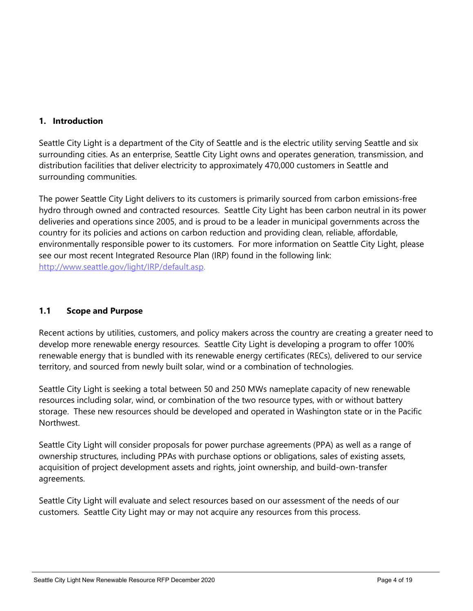## 1. Introduction

Seattle City Light is a department of the City of Seattle and is the electric utility serving Seattle and six surrounding cities. As an enterprise, Seattle City Light owns and operates generation, transmission, and distribution facilities that deliver electricity to approximately 470,000 customers in Seattle and surrounding communities.

The power Seattle City Light delivers to its customers is primarily sourced from carbon emissions-free hydro through owned and contracted resources. Seattle City Light has been carbon neutral in its power deliveries and operations since 2005, and is proud to be a leader in municipal governments across the country for its policies and actions on carbon reduction and providing clean, reliable, affordable, environmentally responsible power to its customers. For more information on Seattle City Light, please see our most recent Integrated Resource Plan (IRP) found in the following link: http://www.seattle.gov/light/IRP/default.asp.

## 1.1 Scope and Purpose

Recent actions by utilities, customers, and policy makers across the country are creating a greater need to develop more renewable energy resources. Seattle City Light is developing a program to offer 100% renewable energy that is bundled with its renewable energy certificates (RECs), delivered to our service territory, and sourced from newly built solar, wind or a combination of technologies.

Seattle City Light is seeking a total between 50 and 250 MWs nameplate capacity of new renewable resources including solar, wind, or combination of the two resource types, with or without battery storage. These new resources should be developed and operated in Washington state or in the Pacific Northwest.

Seattle City Light will consider proposals for power purchase agreements (PPA) as well as a range of ownership structures, including PPAs with purchase options or obligations, sales of existing assets, acquisition of project development assets and rights, joint ownership, and build-own-transfer agreements.

Seattle City Light will evaluate and select resources based on our assessment of the needs of our customers. Seattle City Light may or may not acquire any resources from this process.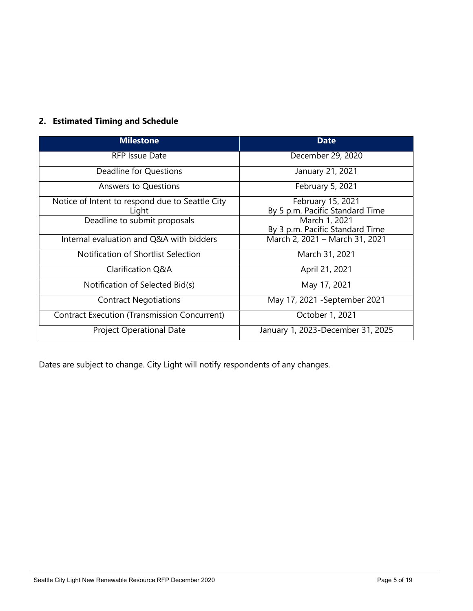## 2. Estimated Timing and Schedule

| <b>Milestone</b>                                    | <b>Date</b>                       |  |
|-----------------------------------------------------|-----------------------------------|--|
| RFP Issue Date                                      | December 29, 2020                 |  |
| Deadline for Questions                              | January 21, 2021                  |  |
| <b>Answers to Questions</b>                         | February 5, 2021                  |  |
| Notice of Intent to respond due to Seattle City     | February 15, 2021                 |  |
| Light                                               | By 5 p.m. Pacific Standard Time   |  |
| Deadline to submit proposals                        | March 1, 2021                     |  |
|                                                     | By 3 p.m. Pacific Standard Time   |  |
| Internal evaluation and Q&A with bidders            | March 2, 2021 - March 31, 2021    |  |
| Notification of Shortlist Selection                 | March 31, 2021                    |  |
| Clarification Q&A                                   | April 21, 2021                    |  |
| Notification of Selected Bid(s)                     | May 17, 2021                      |  |
| <b>Contract Negotiations</b>                        | May 17, 2021 - September 2021     |  |
| <b>Contract Execution (Transmission Concurrent)</b> | October 1, 2021                   |  |
| <b>Project Operational Date</b>                     | January 1, 2023-December 31, 2025 |  |

Dates are subject to change. City Light will notify respondents of any changes.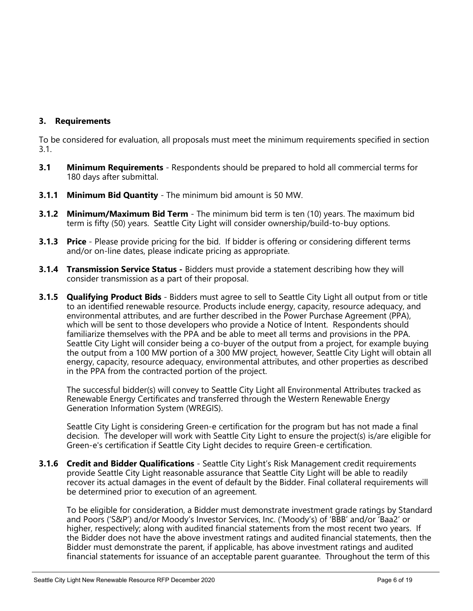## 3. Requirements

To be considered for evaluation, all proposals must meet the minimum requirements specified in section 3.1.

- **3.1** Minimum Requirements Respondents should be prepared to hold all commercial terms for 180 days after submittal.
- **3.1.1 Minimum Bid Quantity** The minimum bid amount is 50 MW.
- **3.1.2 Minimum/Maximum Bid Term** The minimum bid term is ten (10) years. The maximum bid term is fifty (50) years. Seattle City Light will consider ownership/build-to-buy options.
- **3.1.3 Price** Please provide pricing for the bid. If bidder is offering or considering different terms and/or on-line dates, please indicate pricing as appropriate.
- **3.1.4 Transmission Service Status** Bidders must provide a statement describing how they will consider transmission as a part of their proposal.
- **3.1.5 Qualifying Product Bids** Bidders must agree to sell to Seattle City Light all output from or title to an identified renewable resource. Products include energy, capacity, resource adequacy, and environmental attributes, and are further described in the Power Purchase Agreement (PPA), which will be sent to those developers who provide a Notice of Intent. Respondents should familiarize themselves with the PPA and be able to meet all terms and provisions in the PPA. Seattle City Light will consider being a co-buyer of the output from a project, for example buying the output from a 100 MW portion of a 300 MW project, however, Seattle City Light will obtain all energy, capacity, resource adequacy, environmental attributes, and other properties as described in the PPA from the contracted portion of the project.

The successful bidder(s) will convey to Seattle City Light all Environmental Attributes tracked as Renewable Energy Certificates and transferred through the Western Renewable Energy Generation Information System (WREGIS).

Seattle City Light is considering Green-e certification for the program but has not made a final decision. The developer will work with Seattle City Light to ensure the project(s) is/are eligible for Green-e's certification if Seattle City Light decides to require Green-e certification.

**3.1.6 Credit and Bidder Qualifications** - Seattle City Light's Risk Management credit requirements provide Seattle City Light reasonable assurance that Seattle City Light will be able to readily recover its actual damages in the event of default by the Bidder. Final collateral requirements will be determined prior to execution of an agreement.

To be eligible for consideration, a Bidder must demonstrate investment grade ratings by Standard and Poors ('S&P') and/or Moody's Investor Services, Inc. ('Moody's) of 'BBB' and/or 'Baa2' or higher, respectively; along with audited financial statements from the most recent two years. If the Bidder does not have the above investment ratings and audited financial statements, then the Bidder must demonstrate the parent, if applicable, has above investment ratings and audited financial statements for issuance of an acceptable parent guarantee. Throughout the term of this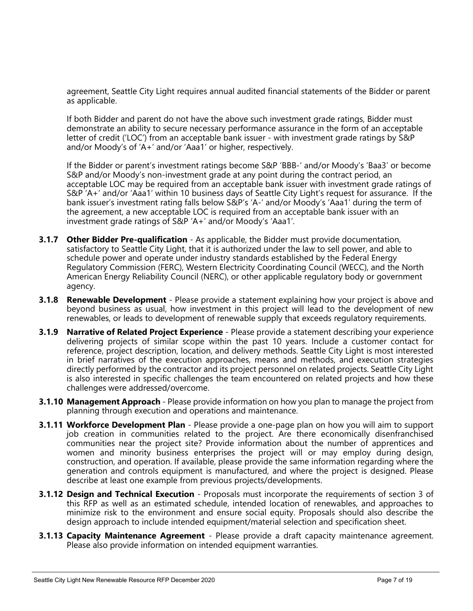agreement, Seattle City Light requires annual audited financial statements of the Bidder or parent as applicable.

If both Bidder and parent do not have the above such investment grade ratings, Bidder must demonstrate an ability to secure necessary performance assurance in the form of an acceptable letter of credit ('LOC') from an acceptable bank issuer - with investment grade ratings by S&P and/or Moody's of 'A+' and/or 'Aaa1' or higher, respectively.

If the Bidder or parent's investment ratings become S&P 'BBB-' and/or Moody's 'Baa3' or become S&P and/or Moody's non-investment grade at any point during the contract period, an acceptable LOC may be required from an acceptable bank issuer with investment grade ratings of S&P 'A+' and/or 'Aaa1' within 10 business days of Seattle City Light's request for assurance. If the bank issuer's investment rating falls below S&P's 'A-' and/or Moody's 'Aaa1' during the term of the agreement, a new acceptable LOC is required from an acceptable bank issuer with an investment grade ratings of S&P 'A+' and/or Moody's 'Aaa1'.

- **3.1.7 Other Bidder Pre-qualification** As applicable, the Bidder must provide documentation, satisfactory to Seattle City Light, that it is authorized under the law to sell power, and able to schedule power and operate under industry standards established by the Federal Energy Regulatory Commission (FERC), Western Electricity Coordinating Council (WECC), and the North American Energy Reliability Council (NERC), or other applicable regulatory body or government agency.
- **3.1.8 Renewable Development** Please provide a statement explaining how your project is above and beyond business as usual, how investment in this project will lead to the development of new renewables, or leads to development of renewable supply that exceeds regulatory requirements.
- **3.1.9 Narrative of Related Project Experience** Please provide a statement describing your experience delivering projects of similar scope within the past 10 years. Include a customer contact for reference, project description, location, and delivery methods. Seattle City Light is most interested in brief narratives of the execution approaches, means and methods, and execution strategies directly performed by the contractor and its project personnel on related projects. Seattle City Light is also interested in specific challenges the team encountered on related projects and how these challenges were addressed/overcome.
- **3.1.10 Management Approach** Please provide information on how you plan to manage the project from planning through execution and operations and maintenance.
- **3.1.11 Workforce Development Plan** Please provide a one-page plan on how you will aim to support job creation in communities related to the project. Are there economically disenfranchised communities near the project site? Provide information about the number of apprentices and women and minority business enterprises the project will or may employ during design, construction, and operation. If available, please provide the same information regarding where the generation and controls equipment is manufactured, and where the project is designed. Please describe at least one example from previous projects/developments.
- **3.1.12 Design and Technical Execution** Proposals must incorporate the requirements of section 3 of this RFP as well as an estimated schedule, intended location of renewables, and approaches to minimize risk to the environment and ensure social equity. Proposals should also describe the design approach to include intended equipment/material selection and specification sheet.
- **3.1.13 Capacity Maintenance Agreement** Please provide a draft capacity maintenance agreement. Please also provide information on intended equipment warranties.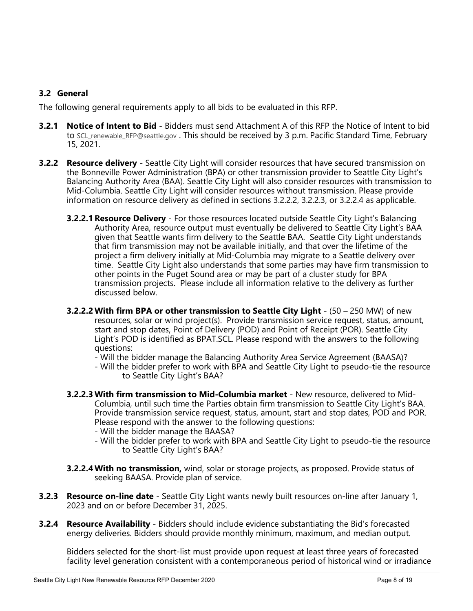## 3.2 General

The following general requirements apply to all bids to be evaluated in this RFP.

- **3.2.1 Notice of Intent to Bid -** Bidders must send Attachment A of this RFP the Notice of Intent to bid to SCL renewable RFP@seattle.gov. This should be received by 3 p.m. Pacific Standard Time, February 15, 2021.
- **3.2.2 Resource delivery** Seattle City Light will consider resources that have secured transmission on the Bonneville Power Administration (BPA) or other transmission provider to Seattle City Light's Balancing Authority Area (BAA). Seattle City Light will also consider resources with transmission to Mid-Columbia. Seattle City Light will consider resources without transmission. Please provide information on resource delivery as defined in sections 3.2.2.2, 3.2.2.3, or 3.2.2.4 as applicable.
	- **3.2.2.1 Resource Delivery** For those resources located outside Seattle City Light's Balancing Authority Area, resource output must eventually be delivered to Seattle City Light's BAA given that Seattle wants firm delivery to the Seattle BAA. Seattle City Light understands that firm transmission may not be available initially, and that over the lifetime of the project a firm delivery initially at Mid-Columbia may migrate to a Seattle delivery over time. Seattle City Light also understands that some parties may have firm transmission to other points in the Puget Sound area or may be part of a cluster study for BPA transmission projects. Please include all information relative to the delivery as further discussed below.
	- **3.2.2.2 With firm BPA or other transmission to Seattle City Light**  $(50 250$  MW) of new resources, solar or wind project(s). Provide transmission service request, status, amount, start and stop dates, Point of Delivery (POD) and Point of Receipt (POR). Seattle City Light's POD is identified as BPAT.SCL. Please respond with the answers to the following questions:
		- Will the bidder manage the Balancing Authority Area Service Agreement (BAASA)?
		- Will the bidder prefer to work with BPA and Seattle City Light to pseudo-tie the resource to Seattle City Light's BAA?
	- 3.2.2.3 With firm transmission to Mid-Columbia market New resource, delivered to Mid-Columbia, until such time the Parties obtain firm transmission to Seattle City Light's BAA. Provide transmission service request, status, amount, start and stop dates, POD and POR. Please respond with the answer to the following questions:
		- Will the bidder manage the BAASA?
		- Will the bidder prefer to work with BPA and Seattle City Light to pseudo-tie the resource to Seattle City Light's BAA?
	- **3.2.2.4 With no transmission,** wind, solar or storage projects, as proposed. Provide status of seeking BAASA. Provide plan of service.
- **3.2.3 Resource on-line date** Seattle City Light wants newly built resources on-line after January 1, 2023 and on or before December 31, 2025.
- **3.2.4 Resource Availability** Bidders should include evidence substantiating the Bid's forecasted energy deliveries. Bidders should provide monthly minimum, maximum, and median output.

Bidders selected for the short-list must provide upon request at least three years of forecasted facility level generation consistent with a contemporaneous period of historical wind or irradiance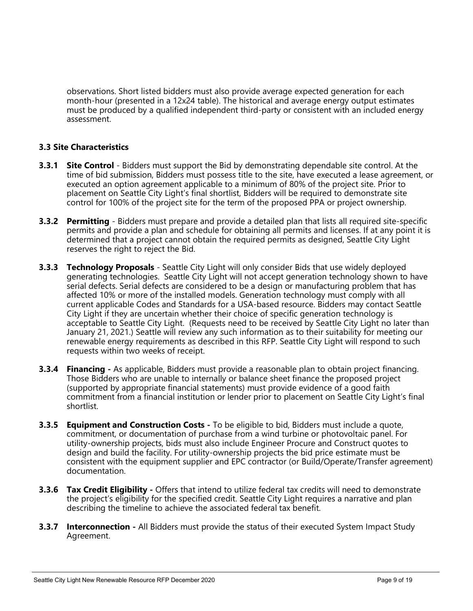observations. Short listed bidders must also provide average expected generation for each month-hour (presented in a 12x24 table). The historical and average energy output estimates must be produced by a qualified independent third-party or consistent with an included energy assessment.

## 3.3 Site Characteristics

- **3.3.1 Site Control** Bidders must support the Bid by demonstrating dependable site control. At the time of bid submission, Bidders must possess title to the site, have executed a lease agreement, or executed an option agreement applicable to a minimum of 80% of the project site. Prior to placement on Seattle City Light's final shortlist, Bidders will be required to demonstrate site control for 100% of the project site for the term of the proposed PPA or project ownership.
- **3.3.2 Permitting** Bidders must prepare and provide a detailed plan that lists all required site-specific permits and provide a plan and schedule for obtaining all permits and licenses. If at any point it is determined that a project cannot obtain the required permits as designed, Seattle City Light reserves the right to reject the Bid.
- **3.3.3 Technology Proposals** Seattle City Light will only consider Bids that use widely deployed generating technologies. Seattle City Light will not accept generation technology shown to have serial defects. Serial defects are considered to be a design or manufacturing problem that has affected 10% or more of the installed models. Generation technology must comply with all current applicable Codes and Standards for a USA-based resource. Bidders may contact Seattle City Light if they are uncertain whether their choice of specific generation technology is acceptable to Seattle City Light. (Requests need to be received by Seattle City Light no later than January 21, 2021.) Seattle will review any such information as to their suitability for meeting our renewable energy requirements as described in this RFP. Seattle City Light will respond to such requests within two weeks of receipt.
- **3.3.4 Financing** As applicable, Bidders must provide a reasonable plan to obtain project financing. Those Bidders who are unable to internally or balance sheet finance the proposed project (supported by appropriate financial statements) must provide evidence of a good faith commitment from a financial institution or lender prior to placement on Seattle City Light's final shortlist.
- **3.3.5 Equipment and Construction Costs** To be eligible to bid, Bidders must include a quote, commitment, or documentation of purchase from a wind turbine or photovoltaic panel. For utility-ownership projects, bids must also include Engineer Procure and Construct quotes to design and build the facility. For utility-ownership projects the bid price estimate must be consistent with the equipment supplier and EPC contractor (or Build/Operate/Transfer agreement) documentation.
- **3.3.6 Tax Credit Eligibility** Offers that intend to utilize federal tax credits will need to demonstrate the project's eligibility for the specified credit. Seattle City Light requires a narrative and plan describing the timeline to achieve the associated federal tax benefit.
- **3.3.7 Interconnection** All Bidders must provide the status of their executed System Impact Study Agreement.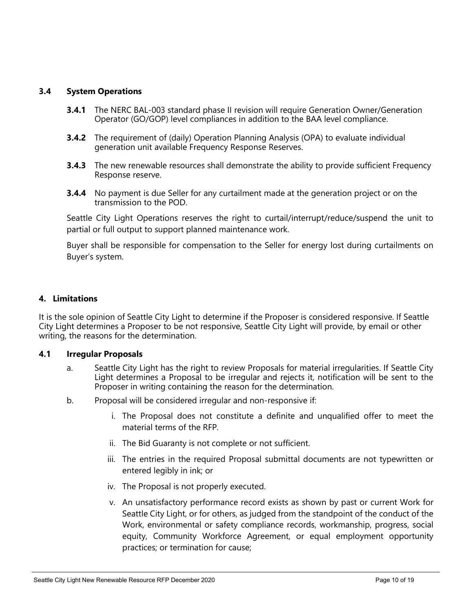## 3.4 System Operations

- **3.4.1** The NERC BAL-003 standard phase II revision will require Generation Owner/Generation Operator (GO/GOP) level compliances in addition to the BAA level compliance.
- **3.4.2** The requirement of (daily) Operation Planning Analysis (OPA) to evaluate individual generation unit available Frequency Response Reserves.
- **3.4.3** The new renewable resources shall demonstrate the ability to provide sufficient Frequency Response reserve.
- **3.4.4** No payment is due Seller for any curtailment made at the generation project or on the transmission to the POD.

Seattle City Light Operations reserves the right to curtail/interrupt/reduce/suspend the unit to partial or full output to support planned maintenance work.

Buyer shall be responsible for compensation to the Seller for energy lost during curtailments on Buyer's system.

### 4. Limitations

It is the sole opinion of Seattle City Light to determine if the Proposer is considered responsive. If Seattle City Light determines a Proposer to be not responsive, Seattle City Light will provide, by email or other writing, the reasons for the determination.

#### 4.1 Irregular Proposals

- a. Seattle City Light has the right to review Proposals for material irregularities. If Seattle City Light determines a Proposal to be irregular and rejects it, notification will be sent to the Proposer in writing containing the reason for the determination.
- b. Proposal will be considered irregular and non-responsive if:
	- i. The Proposal does not constitute a definite and unqualified offer to meet the material terms of the RFP.
	- ii. The Bid Guaranty is not complete or not sufficient.
	- iii. The entries in the required Proposal submittal documents are not typewritten or entered legibly in ink; or
	- iv. The Proposal is not properly executed.
	- v. An unsatisfactory performance record exists as shown by past or current Work for Seattle City Light, or for others, as judged from the standpoint of the conduct of the Work, environmental or safety compliance records, workmanship, progress, social equity, Community Workforce Agreement, or equal employment opportunity practices; or termination for cause;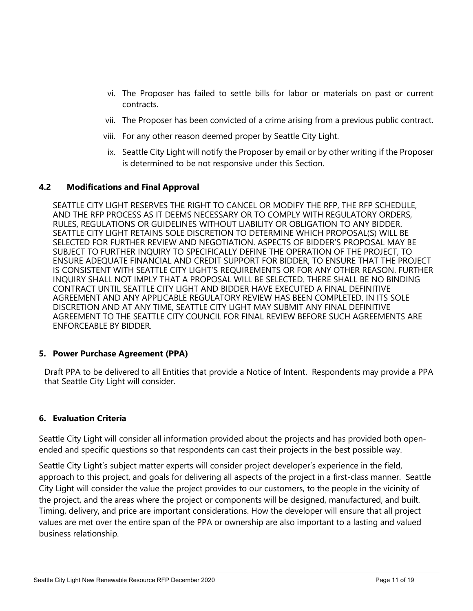- vi. The Proposer has failed to settle bills for labor or materials on past or current contracts.
- vii. The Proposer has been convicted of a crime arising from a previous public contract.
- viii. For any other reason deemed proper by Seattle City Light.
- ix. Seattle City Light will notify the Proposer by email or by other writing if the Proposer is determined to be not responsive under this Section.

#### 4.2 Modifications and Final Approval

SEATTLE CITY LIGHT RESERVES THE RIGHT TO CANCEL OR MODIFY THE RFP, THE RFP SCHEDULE, AND THE RFP PROCESS AS IT DEEMS NECESSARY OR TO COMPLY WITH REGULATORY ORDERS, RULES, REGULATIONS OR GUIDELINES WITHOUT LIABILITY OR OBLIGATION TO ANY BIDDER. SEATTLE CITY LIGHT RETAINS SOLE DISCRETION TO DETERMINE WHICH PROPOSAL(S) WILL BE SELECTED FOR FURTHER REVIEW AND NEGOTIATION. ASPECTS OF BIDDER'S PROPOSAL MAY BE SUBJECT TO FURTHER INQUIRY TO SPECIFICALLY DEFINE THE OPERATION OF THE PROJECT, TO ENSURE ADEQUATE FINANCIAL AND CREDIT SUPPORT FOR BIDDER, TO ENSURE THAT THE PROJECT IS CONSISTENT WITH SEATTLE CITY LIGHT'S REQUIREMENTS OR FOR ANY OTHER REASON. FURTHER INQUIRY SHALL NOT IMPLY THAT A PROPOSAL WILL BE SELECTED. THERE SHALL BE NO BINDING CONTRACT UNTIL SEATTLE CITY LIGHT AND BIDDER HAVE EXECUTED A FINAL DEFINITIVE AGREEMENT AND ANY APPLICABLE REGULATORY REVIEW HAS BEEN COMPLETED. IN ITS SOLE DISCRETION AND AT ANY TIME, SEATTLE CITY LIGHT MAY SUBMIT ANY FINAL DEFINITIVE AGREEMENT TO THE SEATTLE CITY COUNCIL FOR FINAL REVIEW BEFORE SUCH AGREEMENTS ARE ENFORCEABLE BY BIDDER.

#### 5. Power Purchase Agreement (PPA)

 Draft PPA to be delivered to all Entities that provide a Notice of Intent. Respondents may provide a PPA that Seattle City Light will consider.

### 6. Evaluation Criteria

Seattle City Light will consider all information provided about the projects and has provided both openended and specific questions so that respondents can cast their projects in the best possible way.

Seattle City Light's subject matter experts will consider project developer's experience in the field, approach to this project, and goals for delivering all aspects of the project in a first-class manner. Seattle City Light will consider the value the project provides to our customers, to the people in the vicinity of the project, and the areas where the project or components will be designed, manufactured, and built. Timing, delivery, and price are important considerations. How the developer will ensure that all project values are met over the entire span of the PPA or ownership are also important to a lasting and valued business relationship.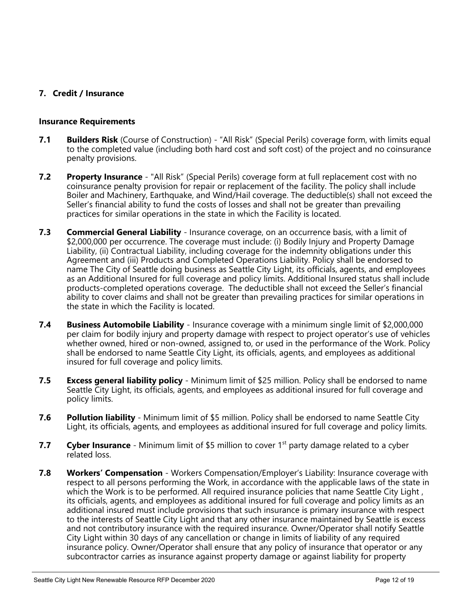## 7. Credit / Insurance

#### Insurance Requirements

- **7.1 Builders Risk** (Course of Construction) "All Risk" (Special Perils) coverage form, with limits equal to the completed value (including both hard cost and soft cost) of the project and no coinsurance penalty provisions.
- **7.2** Property Insurance "All Risk" (Special Perils) coverage form at full replacement cost with no coinsurance penalty provision for repair or replacement of the facility. The policy shall include Boiler and Machinery, Earthquake, and Wind/Hail coverage. The deductible(s) shall not exceed the Seller's financial ability to fund the costs of losses and shall not be greater than prevailing practices for similar operations in the state in which the Facility is located.
- 7.3 Commercial General Liability Insurance coverage, on an occurrence basis, with a limit of \$2,000,000 per occurrence. The coverage must include: (i) Bodily Injury and Property Damage Liability, (ii) Contractual Liability, including coverage for the indemnity obligations under this Agreement and (iii) Products and Completed Operations Liability. Policy shall be endorsed to name The City of Seattle doing business as Seattle City Light, its officials, agents, and employees as an Additional Insured for full coverage and policy limits. Additional Insured status shall include products-completed operations coverage. The deductible shall not exceed the Seller's financial ability to cover claims and shall not be greater than prevailing practices for similar operations in the state in which the Facility is located.
- **7.4 Business Automobile Liability** Insurance coverage with a minimum single limit of \$2,000,000 per claim for bodily injury and property damage with respect to project operator's use of vehicles whether owned, hired or non-owned, assigned to, or used in the performance of the Work. Policy shall be endorsed to name Seattle City Light, its officials, agents, and employees as additional insured for full coverage and policy limits.
- **7.5 Excess general liability policy** Minimum limit of \$25 million. Policy shall be endorsed to name Seattle City Light, its officials, agents, and employees as additional insured for full coverage and policy limits.
- **7.6** Pollution liability Minimum limit of \$5 million. Policy shall be endorsed to name Seattle City Light, its officials, agents, and employees as additional insured for full coverage and policy limits.
- 7.7 Cyber Insurance Minimum limit of \$5 million to cover  $1<sup>st</sup>$  party damage related to a cyber related loss.
- **7.8 Workers' Compensation** Workers Compensation/Employer's Liability: Insurance coverage with respect to all persons performing the Work, in accordance with the applicable laws of the state in which the Work is to be performed. All required insurance policies that name Seattle City Light, its officials, agents, and employees as additional insured for full coverage and policy limits as an additional insured must include provisions that such insurance is primary insurance with respect to the interests of Seattle City Light and that any other insurance maintained by Seattle is excess and not contributory insurance with the required insurance. Owner/Operator shall notify Seattle City Light within 30 days of any cancellation or change in limits of liability of any required insurance policy. Owner/Operator shall ensure that any policy of insurance that operator or any subcontractor carries as insurance against property damage or against liability for property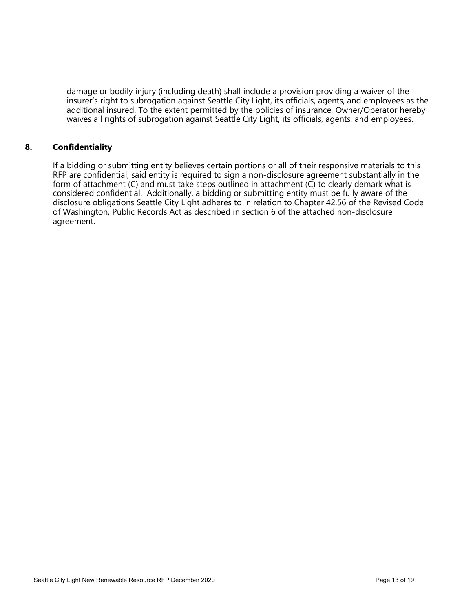damage or bodily injury (including death) shall include a provision providing a waiver of the insurer's right to subrogation against Seattle City Light, its officials, agents, and employees as the additional insured. To the extent permitted by the policies of insurance, Owner/Operator hereby waives all rights of subrogation against Seattle City Light, its officials, agents, and employees.

## 8. Confidentiality

If a bidding or submitting entity believes certain portions or all of their responsive materials to this RFP are confidential, said entity is required to sign a non-disclosure agreement substantially in the form of attachment (C) and must take steps outlined in attachment (C) to clearly demark what is considered confidential. Additionally, a bidding or submitting entity must be fully aware of the disclosure obligations Seattle City Light adheres to in relation to Chapter 42.56 of the Revised Code of Washington, Public Records Act as described in section 6 of the attached non-disclosure agreement.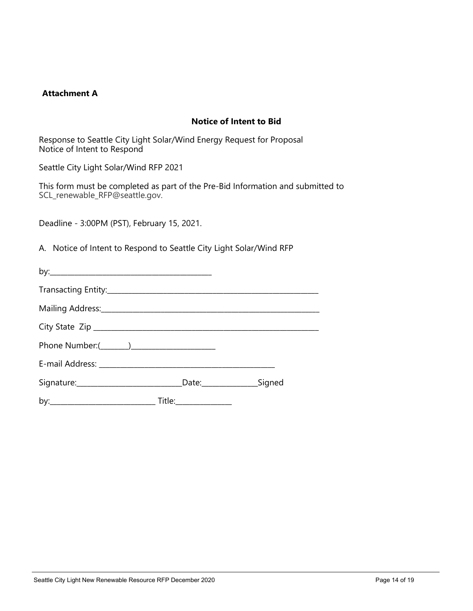### Attachment A

## Notice of Intent to Bid

Response to Seattle City Light Solar/Wind Energy Request for Proposal Notice of Intent to Respond

Seattle City Light Solar/Wind RFP 2021

This form must be completed as part of the Pre-Bid Information and submitted to SCL\_renewable\_RFP@seattle.gov.

Deadline - 3:00PM (PST), February 15, 2021.

A. Notice of Intent to Respond to Seattle City Light Solar/Wind RFP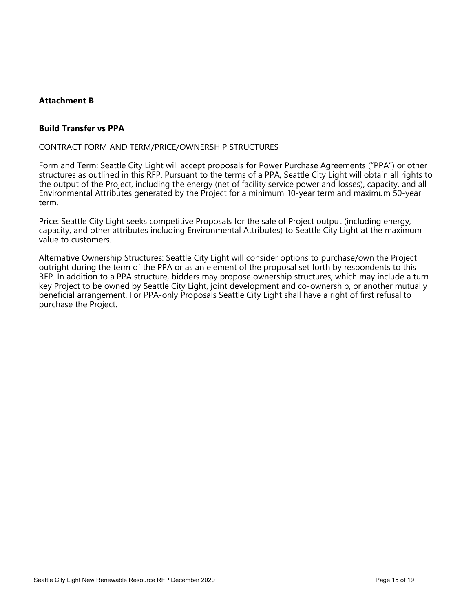## Attachment B

#### Build Transfer vs PPA

#### CONTRACT FORM AND TERM/PRICE/OWNERSHIP STRUCTURES

Form and Term: Seattle City Light will accept proposals for Power Purchase Agreements ("PPA") or other structures as outlined in this RFP. Pursuant to the terms of a PPA, Seattle City Light will obtain all rights to the output of the Project, including the energy (net of facility service power and losses), capacity, and all Environmental Attributes generated by the Project for a minimum 10-year term and maximum 50-year term.

Price: Seattle City Light seeks competitive Proposals for the sale of Project output (including energy, capacity, and other attributes including Environmental Attributes) to Seattle City Light at the maximum value to customers.

Alternative Ownership Structures: Seattle City Light will consider options to purchase/own the Project outright during the term of the PPA or as an element of the proposal set forth by respondents to this RFP. In addition to a PPA structure, bidders may propose ownership structures, which may include a turnkey Project to be owned by Seattle City Light, joint development and co-ownership, or another mutually beneficial arrangement. For PPA-only Proposals Seattle City Light shall have a right of first refusal to purchase the Project.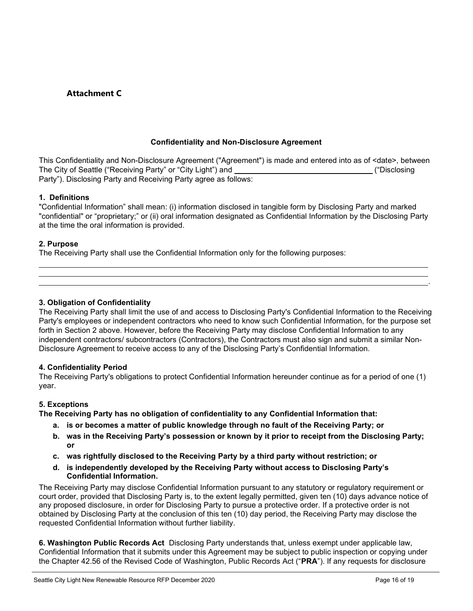## Attachment C

#### Confidentiality and Non-Disclosure Agreement

This Confidentiality and Non-Disclosure Agreement ("Agreement") is made and entered into as of <date>, between The City of Seattle ("Receiving Party" or "City Light") and **Committee Controllery ("Disclosing** ("Disclosing Party"). Disclosing Party and Receiving Party agree as follows:

#### 1. Definitions

"Confidential Information" shall mean: (i) information disclosed in tangible form by Disclosing Party and marked "confidential" or "proprietary;" or (ii) oral information designated as Confidential Information by the Disclosing Party at the time the oral information is provided.

#### 2. Purpose

L

The Receiving Party shall use the Confidential Information only for the following purposes:

#### 3. Obligation of Confidentiality

The Receiving Party shall limit the use of and access to Disclosing Party's Confidential Information to the Receiving Party's employees or independent contractors who need to know such Confidential Information, for the purpose set forth in Section 2 above. However, before the Receiving Party may disclose Confidential Information to any independent contractors/ subcontractors (Contractors), the Contractors must also sign and submit a similar Non-Disclosure Agreement to receive access to any of the Disclosing Party's Confidential Information.

<u>. Andre and the second control of the second control of the second control of the second control of the second</u>

#### 4. Confidentiality Period

The Receiving Party's obligations to protect Confidential Information hereunder continue as for a period of one (1) year.

#### 5. Exceptions

The Receiving Party has no obligation of confidentiality to any Confidential Information that:

- a. is or becomes a matter of public knowledge through no fault of the Receiving Party; or
- b. was in the Receiving Party's possession or known by it prior to receipt from the Disclosing Party; or
- c. was rightfully disclosed to the Receiving Party by a third party without restriction; or
- d. is independently developed by the Receiving Party without access to Disclosing Party's Confidential Information.

The Receiving Party may disclose Confidential Information pursuant to any statutory or regulatory requirement or court order, provided that Disclosing Party is, to the extent legally permitted, given ten (10) days advance notice of any proposed disclosure, in order for Disclosing Party to pursue a protective order. If a protective order is not obtained by Disclosing Party at the conclusion of this ten (10) day period, the Receiving Party may disclose the requested Confidential Information without further liability.

6. Washington Public Records Act Disclosing Party understands that, unless exempt under applicable law, Confidential Information that it submits under this Agreement may be subject to public inspection or copying under the Chapter 42.56 of the Revised Code of Washington, Public Records Act ("PRA"). If any requests for disclosure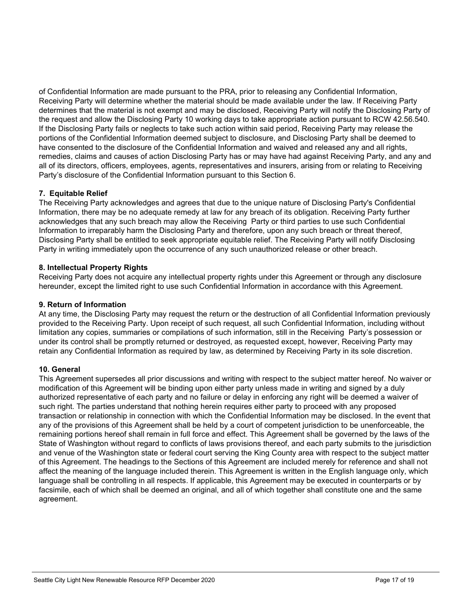of Confidential Information are made pursuant to the PRA, prior to releasing any Confidential Information, Receiving Party will determine whether the material should be made available under the law. If Receiving Party determines that the material is not exempt and may be disclosed, Receiving Party will notify the Disclosing Party of the request and allow the Disclosing Party 10 working days to take appropriate action pursuant to RCW 42.56.540. If the Disclosing Party fails or neglects to take such action within said period, Receiving Party may release the portions of the Confidential Information deemed subject to disclosure, and Disclosing Party shall be deemed to have consented to the disclosure of the Confidential Information and waived and released any and all rights, remedies, claims and causes of action Disclosing Party has or may have had against Receiving Party, and any and all of its directors, officers, employees, agents, representatives and insurers, arising from or relating to Receiving Party's disclosure of the Confidential Information pursuant to this Section 6.

#### 7. Equitable Relief

The Receiving Party acknowledges and agrees that due to the unique nature of Disclosing Party's Confidential Information, there may be no adequate remedy at law for any breach of its obligation. Receiving Party further acknowledges that any such breach may allow the Receiving Party or third parties to use such Confidential Information to irreparably harm the Disclosing Party and therefore, upon any such breach or threat thereof, Disclosing Party shall be entitled to seek appropriate equitable relief. The Receiving Party will notify Disclosing Party in writing immediately upon the occurrence of any such unauthorized release or other breach.

#### 8. Intellectual Property Rights

Receiving Party does not acquire any intellectual property rights under this Agreement or through any disclosure hereunder, except the limited right to use such Confidential Information in accordance with this Agreement.

#### 9. Return of Information

At any time, the Disclosing Party may request the return or the destruction of all Confidential Information previously provided to the Receiving Party. Upon receipt of such request, all such Confidential Information, including without limitation any copies, summaries or compilations of such information, still in the Receiving Party's possession or under its control shall be promptly returned or destroyed, as requested except, however, Receiving Party may retain any Confidential Information as required by law, as determined by Receiving Party in its sole discretion.

#### 10. General

This Agreement supersedes all prior discussions and writing with respect to the subject matter hereof. No waiver or modification of this Agreement will be binding upon either party unless made in writing and signed by a duly authorized representative of each party and no failure or delay in enforcing any right will be deemed a waiver of such right. The parties understand that nothing herein requires either party to proceed with any proposed transaction or relationship in connection with which the Confidential Information may be disclosed. In the event that any of the provisions of this Agreement shall be held by a court of competent jurisdiction to be unenforceable, the remaining portions hereof shall remain in full force and effect. This Agreement shall be governed by the laws of the State of Washington without regard to conflicts of laws provisions thereof, and each party submits to the jurisdiction and venue of the Washington state or federal court serving the King County area with respect to the subject matter of this Agreement. The headings to the Sections of this Agreement are included merely for reference and shall not affect the meaning of the language included therein. This Agreement is written in the English language only, which language shall be controlling in all respects. If applicable, this Agreement may be executed in counterparts or by facsimile, each of which shall be deemed an original, and all of which together shall constitute one and the same agreement.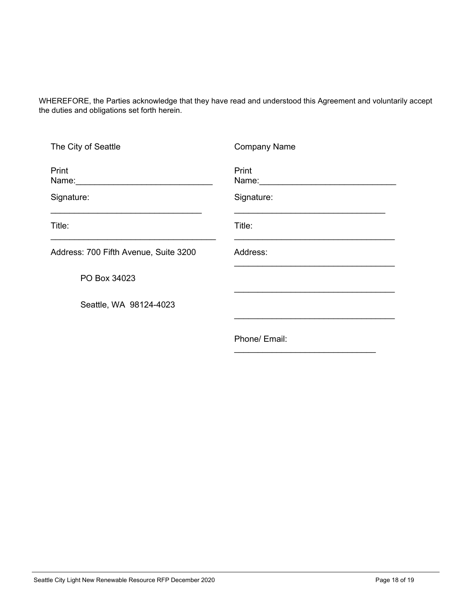WHEREFORE, the Parties acknowledge that they have read and understood this Agreement and voluntarily accept the duties and obligations set forth herein.

| The City of Seattle                   | <b>Company Name</b> |
|---------------------------------------|---------------------|
| Print<br>Name:                        | Print<br>Name:      |
| Signature:                            | Signature:          |
| Title:                                | Title:              |
| Address: 700 Fifth Avenue, Suite 3200 | Address:            |
| PO Box 34023                          |                     |
| Seattle, WA 98124-4023                |                     |
|                                       |                     |
|                                       | Phone/ Email:       |